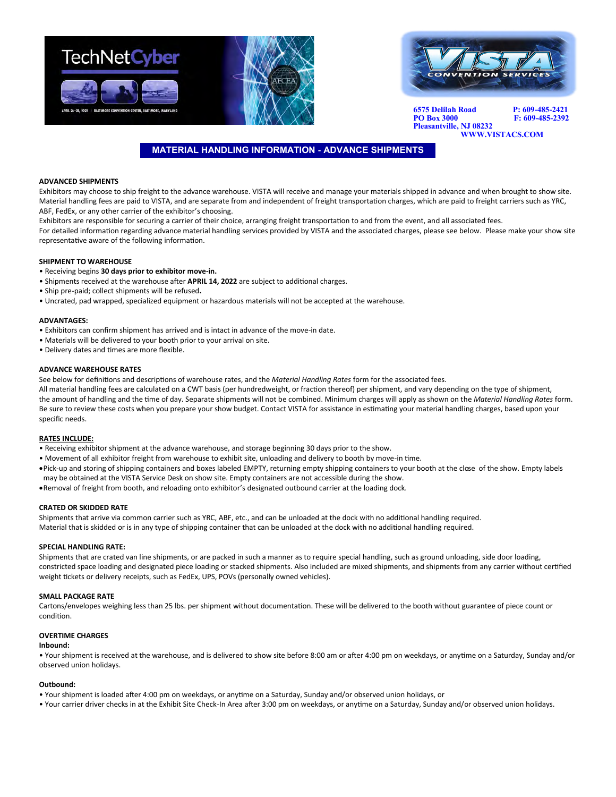



**6575 Delilah Road P: 609-485-2421 PO Box 3000 F: 609-485-2392 Pleasantville, NJ 08232**

## **WWW.VISTACS.COM**

## **MATERIAL HANDLING INFORMATION - ADVANCE SHIPMENTS**

## **ADVANCED SHIPMENTS**

Exhibitors may choose to ship freight to the advance warehouse. VISTA will receive and manage your materials shipped in advance and when brought to show site. Material handling fees are paid to VISTA, and are separate from and independent of freight transportation charges, which are paid to freight carriers such as YRC, ABF, FedEx, or any other carrier of the exhibitor's choosing.

Exhibitors are responsible for securing a carrier of their choice, arranging freight transportation to and from the event, and all associated fees.

For detailed information regarding advance material handling services provided by VISTA and the associated charges, please see below. Please make your show site representative aware of the following information.

## **SHIPMENT TO WAREHOUSE**

- Receiving begins **30 days prior to exhibitor move-in.**
- Shipments received at the warehouse after **APRIL 14, 2022** are subject to additional charges.
- Ship pre-paid; collect shipments will be refused**.**
- Uncrated, pad wrapped, specialized equipment or hazardous materials will not be accepted at the warehouse.

#### **ADVANTAGES:**

- Exhibitors can confirm shipment has arrived and is intact in advance of the move-in date.
- Materials will be delivered to your booth prior to your arrival on site.
- Delivery dates and times are more flexible.

## **ADVANCE WAREHOUSE RATES**

See below for definitions and descriptions of warehouse rates, and the *Material Handling Rates* form for the associated fees.

All material handling fees are calculated on a CWT basis (per hundredweight, or fraction thereof) per shipment, and vary depending on the type of shipment, the amount of handling and the time of day. Separate shipments will not be combined. Minimum charges will apply as shown on the *Material Handling Rates* form. Be sure to review these costs when you prepare your show budget. Contact VISTA for assistance in estimating your material handling charges, based upon your specific needs.

## **RATES INCLUDE:**

- Receiving exhibitor shipment at the advance warehouse, and storage beginning 30 days prior to the show.
- Movement of all exhibitor freight from warehouse to exhibit site, unloading and delivery to booth by move-in time.
- •Pick-up and storing of shipping containers and boxes labeled EMPTY, returning empty shipping containers to your booth at the close of the show. Empty labels may be obtained at the VISTA Service Desk on show site. Empty containers are not accessible during the show.
- •Removal of freight from booth, and reloading onto exhibitor's designated outbound carrier at the loading dock.

#### **CRATED OR SKIDDED RATE**

Shipments that arrive via common carrier such as YRC, ABF, etc., and can be unloaded at the dock with no additional handling required. Material that is skidded or is in any type of shipping container that can be unloaded at the dock with no additional handling required.

#### **SPECIAL HANDLING RATE:**

Shipments that are crated van line shipments, or are packed in such a manner as to require special handling, such as ground unloading, side door loading, constricted space loading and designated piece loading or stacked shipments. Also included are mixed shipments, and shipments from any carrier without certified weight tickets or delivery receipts, such as FedEx, UPS, POVs (personally owned vehicles).

#### **SMALL PACKAGE RATE**

Cartons/envelopes weighing less than 25 lbs. per shipment without documentation. These will be delivered to the booth without guarantee of piece count or condition.

#### **OVERTIME CHARGES**

#### **Inbound:**

• Your shipment is received at the warehouse, and is delivered to show site before 8:00 am or after 4:00 pm on weekdays, or anytime on a Saturday, Sunday and/or observed union holidays.

#### **Outbound:**

- Your shipment is loaded after 4:00 pm on weekdays, or anytime on a Saturday, Sunday and/or observed union holidays, or
- Your carrier driver checks in at the Exhibit Site Check-In Area after 3:00 pm on weekdays, or anytime on a Saturday, Sunday and/or observed union holidays.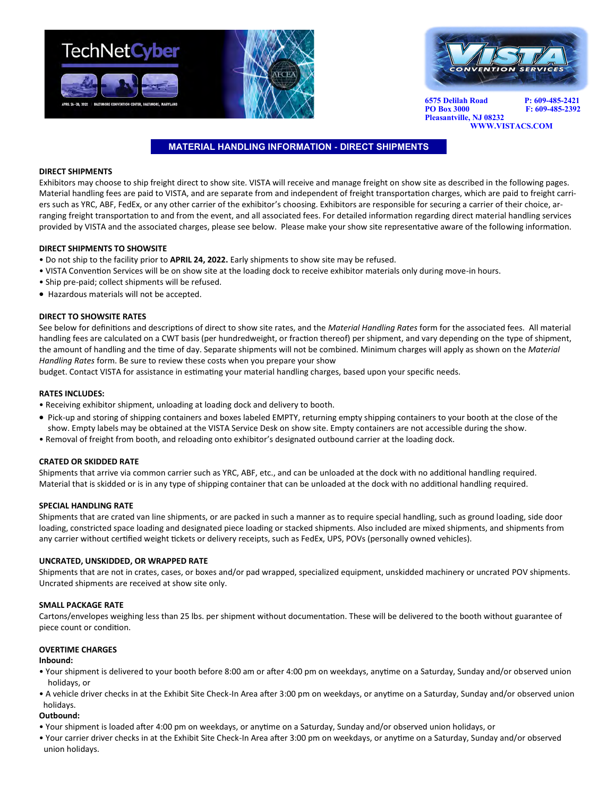



**6575 Delilah Road P: 609-485-2421 PO Box 3000 Pleasantville, NJ 08232 WWW.VISTACS.COM** 

## **MATERIAL HANDLING INFORMATION - DIRECT SHIPMENTS**

## **DIRECT SHIPMENTS**

Exhibitors may choose to ship freight direct to show site. VISTA will receive and manage freight on show site as described in the following pages. Material handling fees are paid to VISTA, and are separate from and independent of freight transportation charges, which are paid to freight carriers such as YRC, ABF, FedEx, or any other carrier of the exhibitor's choosing. Exhibitors are responsible for securing a carrier of their choice, arranging freight transportation to and from the event, and all associated fees. For detailed information regarding direct material handling services provided by VISTA and the associated charges, please see below. Please make your show site representative aware of the following information.

## **DIRECT SHIPMENTS TO SHOWSITE**

- Do not ship to the facility prior to **APRIL 24, 2022.** Early shipments to show site may be refused.
- VISTA Convention Services will be on show site at the loading dock to receive exhibitor materials only during move-in hours.
- Ship pre-paid; collect shipments will be refused.
- Hazardous materials will not be accepted.

## **DIRECT TO SHOWSITE RATES**

See below for definitions and descriptions of direct to show site rates, and the *Material Handling Rates* form for the associated fees. All material handling fees are calculated on a CWT basis (per hundredweight, or fraction thereof) per shipment, and vary depending on the type of shipment, the amount of handling and the time of day. Separate shipments will not be combined. Minimum charges will apply as shown on the *Material Handling Rates* form. Be sure to review these costs when you prepare your show

budget. Contact VISTA for assistance in estimating your material handling charges, based upon your specific needs.

## **RATES INCLUDES:**

- Receiving exhibitor shipment, unloading at loading dock and delivery to booth.
- Pick-up and storing of shipping containers and boxes labeled EMPTY, returning empty shipping containers to your booth at the close of the show. Empty labels may be obtained at the VISTA Service Desk on show site. Empty containers are not accessible during the show.
- Removal of freight from booth, and reloading onto exhibitor's designated outbound carrier at the loading dock.

## **CRATED OR SKIDDED RATE**

Shipments that arrive via common carrier such as YRC, ABF, etc., and can be unloaded at the dock with no additional handling required. Material that is skidded or is in any type of shipping container that can be unloaded at the dock with no additional handling required.

## **SPECIAL HANDLING RATE**

Shipments that are crated van line shipments, or are packed in such a manner as to require special handling, such as ground loading, side door loading, constricted space loading and designated piece loading or stacked shipments. Also included are mixed shipments, and shipments from any carrier without certified weight tickets or delivery receipts, such as FedEx, UPS, POVs (personally owned vehicles).

## **UNCRATED, UNSKIDDED, OR WRAPPED RATE**

Shipments that are not in crates, cases, or boxes and/or pad wrapped, specialized equipment, unskidded machinery or uncrated POV shipments. Uncrated shipments are received at show site only.

## **SMALL PACKAGE RATE**

Cartons/envelopes weighing less than 25 lbs. per shipment without documentation. These will be delivered to the booth without guarantee of piece count or condition.

## **OVERTIME CHARGES**

## **Inbound:**

- Your shipment is delivered to your booth before 8:00 am or after 4:00 pm on weekdays, anytime on a Saturday, Sunday and/or observed union holidays, or
- A vehicle driver checks in at the Exhibit Site Check-In Area after 3:00 pm on weekdays, or anytime on a Saturday, Sunday and/or observed union holidays.

## **Outbound:**

- Your shipment is loaded after 4:00 pm on weekdays, or anytime on a Saturday, Sunday and/or observed union holidays, or
- Your carrier driver checks in at the Exhibit Site Check-In Area after 3:00 pm on weekdays, or anytime on a Saturday, Sunday and/or observed union holidays.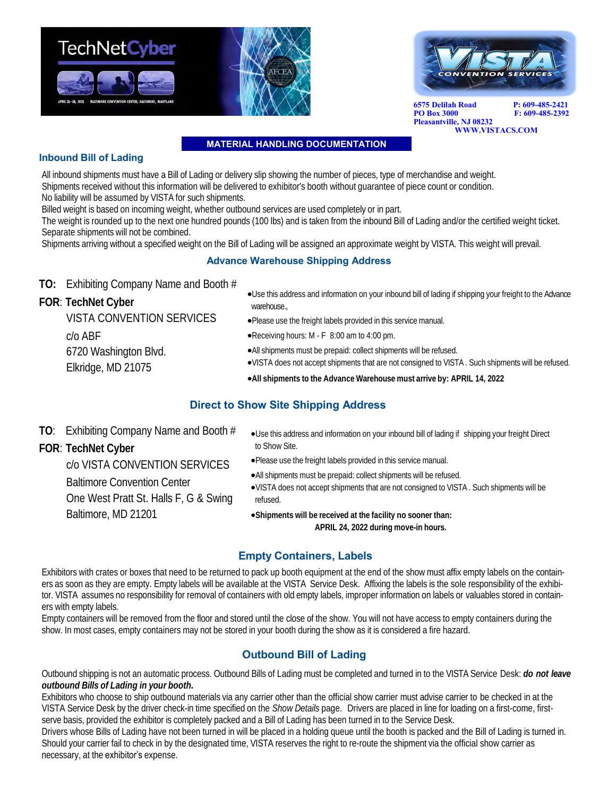



**6575 Delilah Road P: 609-485-2421 PO Box 3000 Pleasantville, NJ 08232**

 **WWW.VISTACS.COM** 

**MATERIAL HANDLING DOCUMENTATION** 

## **Inbound Bill of Lading**

All inbound shipments must have a Bill of Lading or delivery slip showing the number of pieces, type of merchandise and weight. Shipments received without this information will be delivered to exhibitor's booth without guarantee of piece count or condition. No liability will be assumed by VISTA for such shipments.

Billed weight is based on incoming weight, whether outbound services are used completely or in part.

The weight is rounded up to the next one hundred pounds (100 lbs) and is taken from the inbound Bill of Lading and/or the certified weight ticket. Separate shipments will not be combined.

Shipments arriving without a specified weight on the Bill of Lading will be assigned an approximate weight by VISTA. This weight will prevail.

## **Advance Warehouse Shipping Address**

**TO:** Exhibiting Company Name and Booth #

**FOR**: **TechNet Cyber**

•Use this address and information on your inbound bill of lading if shipping your freight to the Advance warehouse.,

VISTA CONVENTION SERVICES c/o ABF 6720 Washington Blvd. Elkridge, MD 21075

- •Please use the freight labels provided in this service manual.
- •Receiving hours: M F 8:00 am to 4:00 pm.
- •All shipments must be prepaid: collect shipments will be refused.
- •VISTA does not accept shipments that are not consigned to VISTA . Such shipments will be refused.
- •**All shipments to the Advance Warehouse must arrive by: APRIL 14, 2022**

## **Direct to Show Site Shipping Address**

to Show Site.

**TO**: Exhibiting Company Name and Booth #

Baltimore Convention Center

Baltimore, MD 21201

One West Pratt St. Halls F, G & Swing

**FOR**: **TechNet Cyber**

- c/o VISTA CONVENTION SERVICES •Please use the freight labels provided in this service manual.
	- •All shipments must be prepaid: collect shipments will be refused.
	- •VISTA does not accept shipments that are not consigned to VISTA . Such shipments will be refused.

•Use this address and information on your inbound bill of lading if shipping your freight Direct

•**Shipments will be received at the facility no sooner than: APRIL 24, 2022 during move-in hours.**

## **Empty Containers, Labels**

Exhibitors with crates or boxes that need to be returned to pack up booth equipment at the end of the show must affix empty labels on the containers as soon as they are empty. Empty labels will be available at the VISTA Service Desk. Affixing the labels is the sole responsibility of the exhibitor. VISTA assumes no responsibility for removal of containers with old empty labels, improper information on labels or valuables stored in containers with empty labels.

Empty containers will be removed from the floor and stored until the close of the show. You will not have access to empty containers during the show. In most cases, empty containers may not be stored in your booth during the show as it is considered a fire hazard.

## **Outbound Bill of Lading**

Outbound shipping is not an automatic process. Outbound Bills of Lading must be completed and turned in to the VISTA Service Desk: *do not leave outbound Bills of Lading in your booth.*

Exhibitors who choose to ship outbound materials via any carrier other than the official show carrier must advise carrier to be checked in at the VISTA Service Desk by the driver check-in time specified on the *Show Details* page. Drivers are placed in line for loading on a first-come, firstserve basis, provided the exhibitor is completely packed and a Bill of Lading has been turned in to the Service Desk.

Drivers whose Bills of Lading have not been turned in will be placed in a holding queue until the booth is packed and the Bill of Lading is turned in. Should your carrier fail to check in by the designated time, VISTA reserves the right to re-route the shipment via the official show carrier as necessary, at the exhibitor's expense.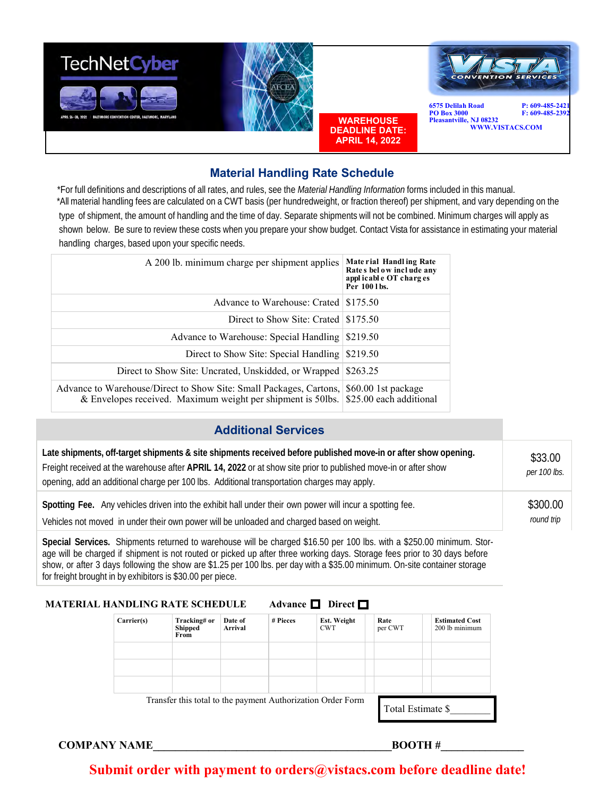

## **Material Handling Rate Schedule**

 \*For full definitions and descriptions of all rates, and rules, see the *Material Handling Information* forms included in this manual. \*All material handling fees are calculated on a CWT basis (per hundredweight, or fraction thereof) per shipment, and vary depending on the type of shipment, the amount of handling and the time of day. Separate shipments will not be combined. Minimum charges will apply as shown below. Be sure to review these costs when you prepare your show budget. Contact Vista for assistance in estimating your material handling charges, based upon your specific needs.

| A 200 lb. minimum charge per shipment applies                                                                                     | Mate rial Handling Rate<br>Rates below include any<br>applicable OT charges<br>Per 100 lbs. |
|-----------------------------------------------------------------------------------------------------------------------------------|---------------------------------------------------------------------------------------------|
| Advance to Warehouse: Crated \\ \\$175.50                                                                                         |                                                                                             |
| Direct to Show Site: Crated $\frac{18175.50}{20}$                                                                                 |                                                                                             |
| Advance to Warehouse: Special Handling                                                                                            | \$219.50                                                                                    |
| Direct to Show Site: Special Handling \\$219.50                                                                                   |                                                                                             |
| Direct to Show Site: Uncrated, Unskidded, or Wrapped \\\$263.25                                                                   |                                                                                             |
| Advance to Warehouse/Direct to Show Site: Small Packages, Cartons,<br>& Envelopes received. Maximum weight per shipment is 50lbs. | \$60.00 1st package<br>\$25.00 each additional                                              |

## **Additional Services**

| Late shipments, off-target shipments & site shipments received before published move-in or after show opening.<br>Freight received at the warehouse after APRIL 14, 2022 or at show site prior to published move-in or after show<br>opening, add an additional charge per 100 lbs. Additional transportation charges may apply. | \$33.00<br>per 100 lbs. |
|----------------------------------------------------------------------------------------------------------------------------------------------------------------------------------------------------------------------------------------------------------------------------------------------------------------------------------|-------------------------|
| Spotting Fee. Any vehicles driven into the exhibit hall under their own power will incur a spotting fee.                                                                                                                                                                                                                         | \$300.00                |
| Vehicles not moved in under their own power will be unloaded and charged based on weight.                                                                                                                                                                                                                                        | round trip              |

**Special Services.** Shipments returned to warehouse will be charged \$16.50 per 100 lbs. with a \$250.00 minimum. Storage will be charged if shipment is not routed or picked up after three working days. Storage fees prior to 30 days before show, or after 3 days following the show are \$1.25 per 100 lbs. per day with a \$35.00 minimum. On-site container storage for freight brought in by exhibitors is \$30.00 per piece.

## **MATERIAL HANDLING RATE SCHEDULE** Advance **D** Direct **D**

 Transfer this total to the payment Authorization Order Form **Carrier(s) Tracking# or Shipped From Date of Arrival # Pieces Est. Weight**  CWT **Rate**  per CWT **Estimated Cost**  200 lb minimum Total Estimate \$\_\_\_\_\_\_\_\_

**COMPANY NAME LET BOOTH #** 

## **Submit order with payment to orders@vistacs.com before deadline date!**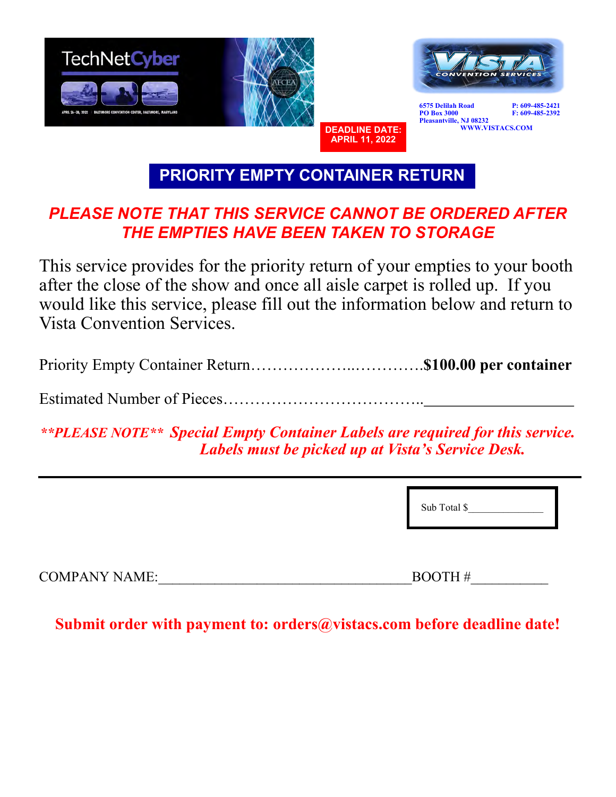

**PRIORITY EMPTY CONTAINER RETURN**

# *PLEASE NOTE THAT THIS SERVICE CANNOT BE ORDERED AFTER THE EMPTIES HAVE BEEN TAKEN TO STORAGE*

This service provides for the priority return of your empties to your booth after the close of the show and once all aisle carpet is rolled up. If you would like this service, please fill out the information below and return to Vista Convention Services.

Priority Empty Container Return………………..………….**\$100.00 per container**

Estimated Number of Pieces………………………………..

*\*\*PLEASE NOTE\*\* Special Empty Container Labels are required for this service. Labels must be picked up at Vista's Service Desk.*

Sub Total \$

COMPANY NAME: THE SERVICE OF SERVICE  $\overline{B}$ 

 **Submit order with payment to: orders@vistacs.com before deadline date!**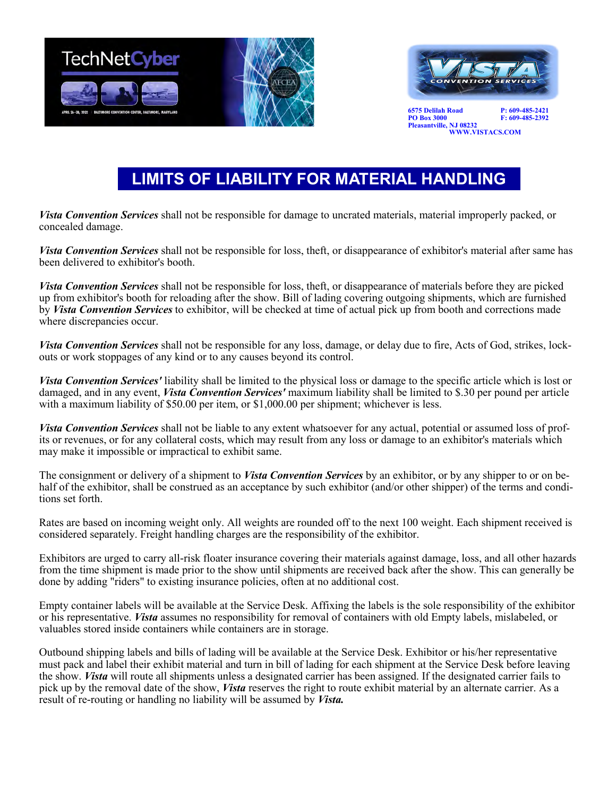



**6575 Delilah Road** P: 609-485-2421<br> **PO Box 3000** F: 609-485-2392 **Pleasantville, NJ 08232 WWW.VISTACS.COM** 

**PO Box 3000 F: 609-485-2392**

# **LIMITS OF LIABILITY FOR MATERIAL HANDLING**

*Vista Convention Services* shall not be responsible for damage to uncrated materials, material improperly packed, or concealed damage.

*Vista Convention Services* shall not be responsible for loss, theft, or disappearance of exhibitor's material after same has been delivered to exhibitor's booth.

*Vista Convention Services* shall not be responsible for loss, theft, or disappearance of materials before they are picked up from exhibitor's booth for reloading after the show. Bill of lading covering outgoing shipments, which are furnished by *Vista Convention Services* to exhibitor, will be checked at time of actual pick up from booth and corrections made where discrepancies occur.

*Vista Convention Services* shall not be responsible for any loss, damage, or delay due to fire, Acts of God, strikes, lockouts or work stoppages of any kind or to any causes beyond its control.

*Vista Convention Services'* liability shall be limited to the physical loss or damage to the specific article which is lost or damaged, and in any event, *Vista Convention Services'* maximum liability shall be limited to \$.30 per pound per article with a maximum liability of \$50.00 per item, or \$1,000.00 per shipment; whichever is less.

*Vista Convention Services* shall not be liable to any extent whatsoever for any actual, potential or assumed loss of profits or revenues, or for any collateral costs, which may result from any loss or damage to an exhibitor's materials which may make it impossible or impractical to exhibit same.

The consignment or delivery of a shipment to *Vista Convention Services* by an exhibitor, or by any shipper to or on behalf of the exhibitor, shall be construed as an acceptance by such exhibitor (and/or other shipper) of the terms and conditions set forth.

Rates are based on incoming weight only. All weights are rounded off to the next 100 weight. Each shipment received is considered separately. Freight handling charges are the responsibility of the exhibitor.

Exhibitors are urged to carry all-risk floater insurance covering their materials against damage, loss, and all other hazards from the time shipment is made prior to the show until shipments are received back after the show. This can generally be done by adding "riders" to existing insurance policies, often at no additional cost.

Empty container labels will be available at the Service Desk. Affixing the labels is the sole responsibility of the exhibitor or his representative. *Vista* assumes no responsibility for removal of containers with old Empty labels, mislabeled, or valuables stored inside containers while containers are in storage.

Outbound shipping labels and bills of lading will be available at the Service Desk. Exhibitor or his/her representative must pack and label their exhibit material and turn in bill of lading for each shipment at the Service Desk before leaving the show. *Vista* will route all shipments unless a designated carrier has been assigned. If the designated carrier fails to pick up by the removal date of the show, *Vista* reserves the right to route exhibit material by an alternate carrier. As a result of re-routing or handling no liability will be assumed by *Vista.*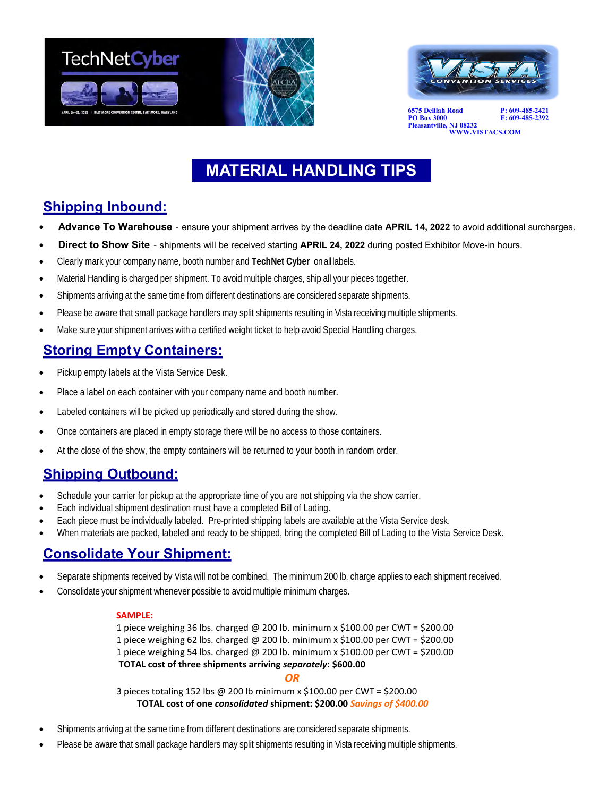



**6575 Delilah Road** P: 609-485-2421<br> **PO Box 3000** F: 609-485-2392 **Pleasantville, NJ 08232 WWW.VISTACS.COM** 

**PO Box 3000 F: 609-485-2392**

# **MATERIAL HANDLING TIPS**

## **Shipping Inbound:**

- **Advance To Warehouse** ensure your shipment arrives by the deadline date **APRIL 14, 2022** to avoid additional surcharges.
- **Direct to Show Site** shipments will be received starting **APRIL 24, 2022** during posted Exhibitor Move-in hours.
- Clearly mark your company name, booth number and **TechNet Cyber** onall labels.
- Material Handling is charged per shipment. To avoid multiple charges, ship all your pieces together.
- Shipments arriving at the same time from different destinations are considered separate shipments.
- Please be aware that small package handlers may split shipments resulting in Vista receiving multiple shipments.
- Make sure your shipment arrives with a certified weight ticket to help avoid Special Handling charges.

## **Storing Empty Containers:**

- Pickup empty labels at the Vista Service Desk.
- Place a label on each container with your company name and booth number.
- Labeled containers will be picked up periodically and stored during the show.
- Once containers are placed in empty storage there will be no access to those containers.
- At the close of the show, the empty containers will be returned to your booth in random order.

## **Shipping Outbound:**

- Schedule your carrier for pickup at the appropriate time of you are not shipping via the show carrier.
- Each individual shipment destination must have a completed Bill of Lading.
- Each piece must be individually labeled. Pre-printed shipping labels are available at the Vista Service desk.
- When materials are packed, labeled and ready to be shipped, bring the completed Bill of Lading to the Vista Service Desk.

## **Consolidate Your Shipment:**

- Separate shipments received by Vista will not be combined. The minimum 200 lb. charge applies to each shipment received.
- Consolidate your shipment whenever possible to avoid multiple minimum charges.

## **SAMPLE:**

 1 piece weighing 36 lbs. charged @ 200 lb. minimum x \$100.00 per CWT = \$200.00 1 piece weighing 62 lbs. charged @ 200 lb. minimum  $\times$  \$100.00 per CWT = \$200.00 1 piece weighing 54 lbs. charged @ 200 lb. minimum x \$100.00 per CWT = \$200.00  **TOTAL cost of three shipments arriving** *separately***: \$600.00**

## *OR*

 3 pieces totaling 152 lbs @ 200 lb minimum x \$100.00 per CWT = \$200.00  **TOTAL cost of one** *consolidated* **shipment: \$200.00** *Savings of \$400.00*

- Shipments arriving at the same time from different destinations are considered separate shipments.
- Please be aware that small package handlers may split shipments resulting in Vista receiving multiple shipments.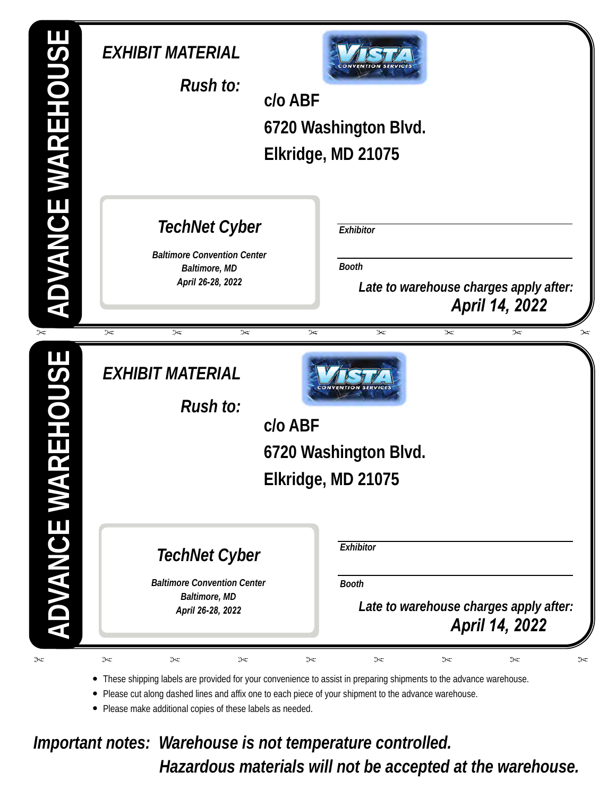| ADVANCE WAREHOUSE   | EXHIBIT MATERIAL<br>Rush to:                                                                     | $C/O$ ABF<br>6720 Washington Blvd.<br>Elkridge, MD 21075                                                                               |
|---------------------|--------------------------------------------------------------------------------------------------|----------------------------------------------------------------------------------------------------------------------------------------|
|                     | <b>TechNet Cyber</b><br><b>Baltimore Convention Center</b><br>Baltimore, MD<br>April 26-28, 2022 | Exhibitor<br>Booth<br>Late to warehouse charges apply after:<br>April 14, 2022                                                         |
| $\asymp$<br>REHOUSE | $\approx$<br>$\approx$<br>$\approx$<br>EXHIBIT MATERIAL<br>Rush to:                              | $\asymp$<br>$\approx$<br>$\approx$<br>$\approx$<br>$\approx$<br>CONVENTION<br>$C/O$ ABF<br>6720 Washington Blvd.<br>Elkridge, MD 21075 |
| ADVANCE WA          | TechNet Cyber<br><b>Baltimore Convention Center</b><br>Baltimore, MD<br>April 26-28, 2022        | Exhibitor<br><b>Booth</b><br>Late to warehouse charges apply after:<br><b>April 14, 2022</b>                                           |

• These shipping labels are provided for your convenience to assist in preparing shipments to the advance warehouse.

• Please cut along dashed lines and affix one to each piece of your shipment to the advance warehouse.

• Please make additional copies of these labels as needed.

*Important notes: Warehouse is not temperature controlled. Hazardous materials will not be accepted at the warehouse.*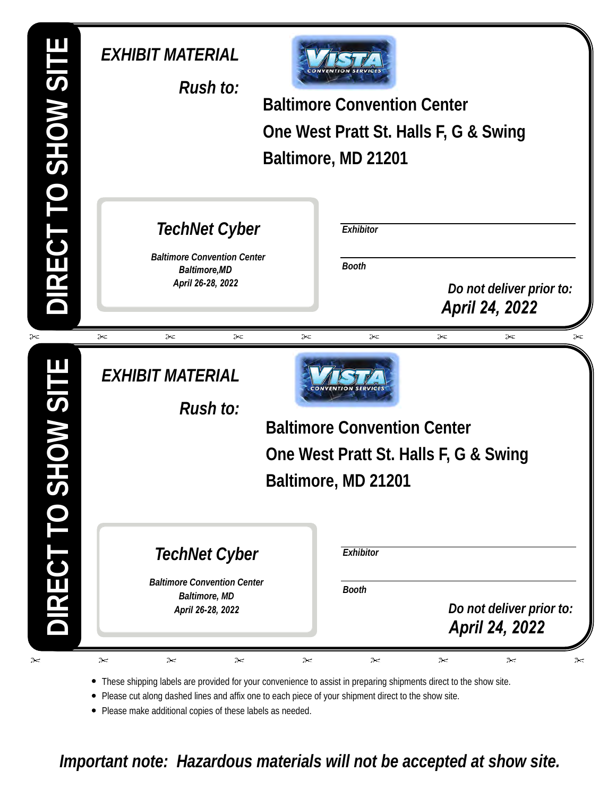| JIRECT TO SHOW SITE | EXHIBIT MATERIAL<br>Rush to:                                                                     |   | <b>Baltimore Convention Center</b><br>Baltimore, MD 21201      | One West Pratt St. Halls F, G & Swing                        |
|---------------------|--------------------------------------------------------------------------------------------------|---|----------------------------------------------------------------|--------------------------------------------------------------|
|                     | TechNet Cyber<br><b>Baltimore Convention Center</b><br><b>Baltimore, MD</b><br>April 26-28, 2022 |   | Exhibitor<br>Booth                                             | Do not deliver prior to:<br>April 24, 2022                   |
| ≻<br><b>JILS WO</b> | $\approx$<br>➣<br>➣<br>EXHIBIT MATERIAL<br>Rush to:                                              | ➣ | ➣<br><b>Baltimore Convention Center</b><br>Baltimore, MD 21201 | $\approx$<br>➣<br>➣<br>One West Pratt St. Halls F, G & Swing |
| IRECT <sub>1</sub>  | TechNet Cyber<br><b>Baltimore Convention Center</b><br>Baltimore, MD<br>April 26-28, 2022        |   | Exhibitor<br><b>Booth</b>                                      | Do not deliver prior to:<br>April 24, 2022                   |

• These shipping labels are provided for your convenience to assist in preparing shipments direct to the show site.

• Please cut along dashed lines and affix one to each piece of your shipment direct to the show site.

• Please make additional copies of these labels as needed.

*Important note: Hazardous materials will not be accepted at show site.*